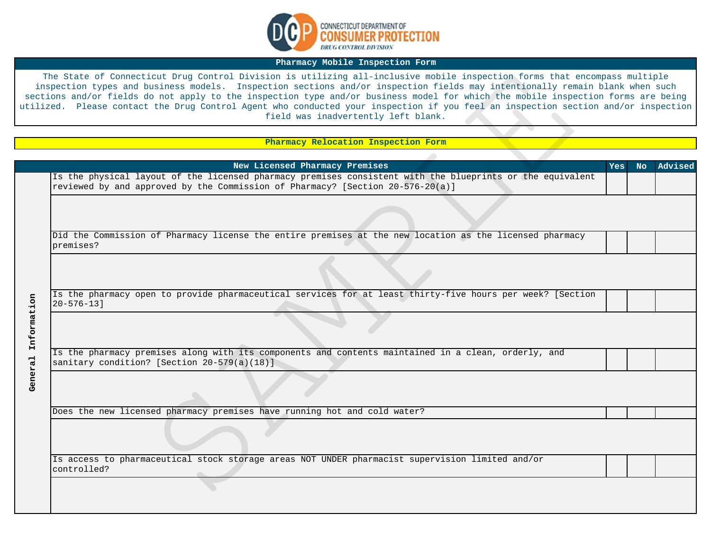

## **Pharmacy Mobile Inspection Form**

## **Pharmacy Relocation Inspection Form**

|             | The State of Connecticut Drug Control Division is utilizing all-inclusive mobile inspection forms that encompass multiple<br>inspection types and business models. Inspection sections and/or inspection fields may intentionally remain blank when such<br>sections and/or fields do not apply to the inspection type and/or business model for which the mobile inspection forms are being<br>tilized. Please contact the Drug Control Agent who conducted your inspection if you feel an inspection section and/or inspection<br>field was inadvertently left blank. |            |     |         |
|-------------|-------------------------------------------------------------------------------------------------------------------------------------------------------------------------------------------------------------------------------------------------------------------------------------------------------------------------------------------------------------------------------------------------------------------------------------------------------------------------------------------------------------------------------------------------------------------------|------------|-----|---------|
|             |                                                                                                                                                                                                                                                                                                                                                                                                                                                                                                                                                                         |            |     |         |
|             | Pharmacy Relocation Inspection Form                                                                                                                                                                                                                                                                                                                                                                                                                                                                                                                                     |            |     |         |
|             |                                                                                                                                                                                                                                                                                                                                                                                                                                                                                                                                                                         |            |     |         |
|             | New Licensed Pharmacy Premises                                                                                                                                                                                                                                                                                                                                                                                                                                                                                                                                          | <b>Yes</b> | No. | Advised |
|             | Is the physical layout of the licensed pharmacy premises consistent with the blueprints or the equivalent<br>reviewed by and approved by the Commission of Pharmacy? [Section 20-576-20(a)]                                                                                                                                                                                                                                                                                                                                                                             |            |     |         |
|             |                                                                                                                                                                                                                                                                                                                                                                                                                                                                                                                                                                         |            |     |         |
|             | Did the Commission of Pharmacy license the entire premises at the new location as the licensed pharmacy<br>premises?                                                                                                                                                                                                                                                                                                                                                                                                                                                    |            |     |         |
|             |                                                                                                                                                                                                                                                                                                                                                                                                                                                                                                                                                                         |            |     |         |
|             | Is the pharmacy open to provide pharmaceutical services for at least thirty-five hours per week? [Section<br>$20 - 576 - 131$                                                                                                                                                                                                                                                                                                                                                                                                                                           |            |     |         |
| Information |                                                                                                                                                                                                                                                                                                                                                                                                                                                                                                                                                                         |            |     |         |
|             | Is the pharmacy premises along with its components and contents maintained in a clean, orderly, and<br>sanitary condition? [Section 20-579(a)(18)]                                                                                                                                                                                                                                                                                                                                                                                                                      |            |     |         |
| General     |                                                                                                                                                                                                                                                                                                                                                                                                                                                                                                                                                                         |            |     |         |
|             | Does the new licensed pharmacy premises have running hot and cold water?                                                                                                                                                                                                                                                                                                                                                                                                                                                                                                |            |     |         |
|             |                                                                                                                                                                                                                                                                                                                                                                                                                                                                                                                                                                         |            |     |         |
|             | Is access to pharmaceutical stock storage areas NOT UNDER pharmacist supervision limited and/or<br>controlled?                                                                                                                                                                                                                                                                                                                                                                                                                                                          |            |     |         |
|             |                                                                                                                                                                                                                                                                                                                                                                                                                                                                                                                                                                         |            |     |         |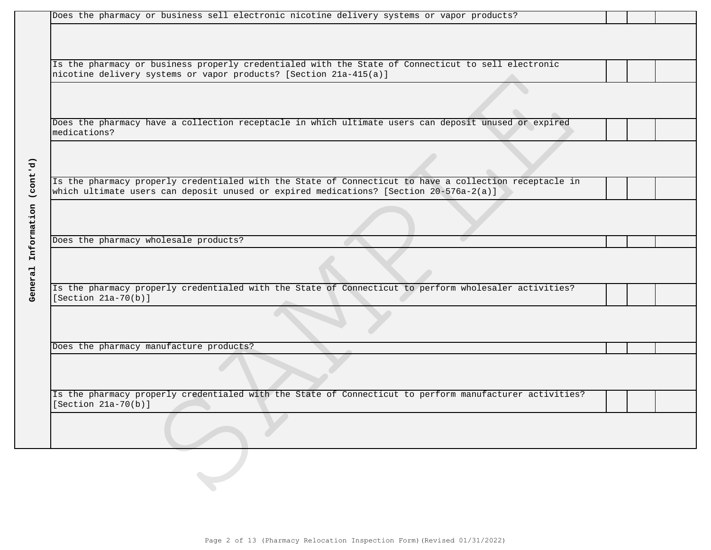| Does the pharmacy or business sell electronic nicotine delivery systems or vapor products?                                                                              |
|-------------------------------------------------------------------------------------------------------------------------------------------------------------------------|
|                                                                                                                                                                         |
|                                                                                                                                                                         |
|                                                                                                                                                                         |
| Is the pharmacy or business properly credentialed with the State of Connecticut to sell electronic<br>nicotine delivery systems or vapor products? [Section 21a-415(a)] |
|                                                                                                                                                                         |
|                                                                                                                                                                         |
|                                                                                                                                                                         |
| Does the pharmacy have a collection receptacle in which ultimate users can deposit unused or expired                                                                    |
| medications?                                                                                                                                                            |
|                                                                                                                                                                         |
|                                                                                                                                                                         |
|                                                                                                                                                                         |
| Is the pharmacy properly credentialed with the State of Connecticut to have a collection receptacle in                                                                  |
| which ultimate users can deposit unused or expired medications? [Section 20-576a-2(a)]                                                                                  |
|                                                                                                                                                                         |
|                                                                                                                                                                         |
| Does the pharmacy wholesale products?                                                                                                                                   |
|                                                                                                                                                                         |
|                                                                                                                                                                         |
|                                                                                                                                                                         |
| Is the pharmacy properly credentialed with the State of Connecticut to perform wholesaler activities?                                                                   |
| [Section $21a-70(b)$ ]                                                                                                                                                  |
|                                                                                                                                                                         |
|                                                                                                                                                                         |
|                                                                                                                                                                         |
| Does the pharmacy manufacture products?                                                                                                                                 |
|                                                                                                                                                                         |
|                                                                                                                                                                         |
|                                                                                                                                                                         |
| Is the pharmacy properly credentialed with the State of Connecticut to perform manufacturer activities?<br>[Section $21a-70(b)$ ]                                       |
|                                                                                                                                                                         |
|                                                                                                                                                                         |
|                                                                                                                                                                         |
|                                                                                                                                                                         |
|                                                                                                                                                                         |
|                                                                                                                                                                         |
|                                                                                                                                                                         |

**General Information (cont'd)**

General Information (cont'd)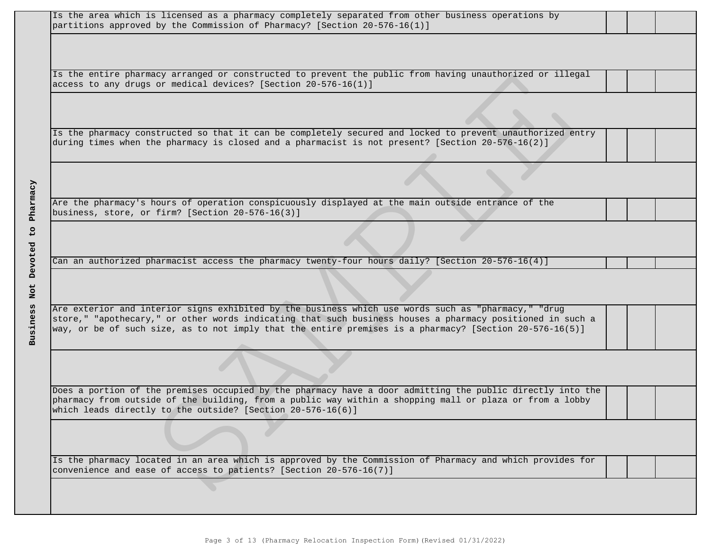| Is the area which is licensed as a pharmacy completely separated from other business operations by<br>partitions approved by the Commission of Pharmacy? [Section 20-576-16(1)]                                      |
|----------------------------------------------------------------------------------------------------------------------------------------------------------------------------------------------------------------------|
|                                                                                                                                                                                                                      |
|                                                                                                                                                                                                                      |
| Is the entire pharmacy arranged or constructed to prevent the public from having unauthorized or illegal<br>access to any drugs or medical devices? [Section 20-576-16(1)]                                           |
|                                                                                                                                                                                                                      |
|                                                                                                                                                                                                                      |
| Is the pharmacy constructed so that it can be completely secured and locked to prevent unauthorized entry                                                                                                            |
| during times when the pharmacy is closed and a pharmacist is not present? [Section 20-576-16(2)]                                                                                                                     |
|                                                                                                                                                                                                                      |
|                                                                                                                                                                                                                      |
| Are the pharmacy's hours of operation conspicuously displayed at the main outside entrance of the                                                                                                                    |
| business, store, or firm? [Section 20-576-16(3)]                                                                                                                                                                     |
|                                                                                                                                                                                                                      |
| Can an authorized pharmacist access the pharmacy twenty-four hours daily? [Section 20-576-16(4)]                                                                                                                     |
|                                                                                                                                                                                                                      |
|                                                                                                                                                                                                                      |
| Are exterior and interior signs exhibited by the business which use words such as "pharmacy," "drug                                                                                                                  |
| store," "apothecary," or other words indicating that such business houses a pharmacy positioned in such a<br>way, or be of such size, as to not imply that the entire premises is a pharmacy? [Section 20-576-16(5)] |
|                                                                                                                                                                                                                      |
|                                                                                                                                                                                                                      |
| Does a portion of the premises occupied by the pharmacy have a door admitting the public directly into the                                                                                                           |
| pharmacy from outside of the building, from a public way within a shopping mall or plaza or from a lobby                                                                                                             |
| which leads directly to the outside? [Section 20-576-16(6)]                                                                                                                                                          |
|                                                                                                                                                                                                                      |
|                                                                                                                                                                                                                      |
| Is the pharmacy located in an area which is approved by the Commission of Pharmacy and which provides for                                                                                                            |
| convenience and ease of access to patients? [Section 20-576-16(7)]                                                                                                                                                   |
|                                                                                                                                                                                                                      |
|                                                                                                                                                                                                                      |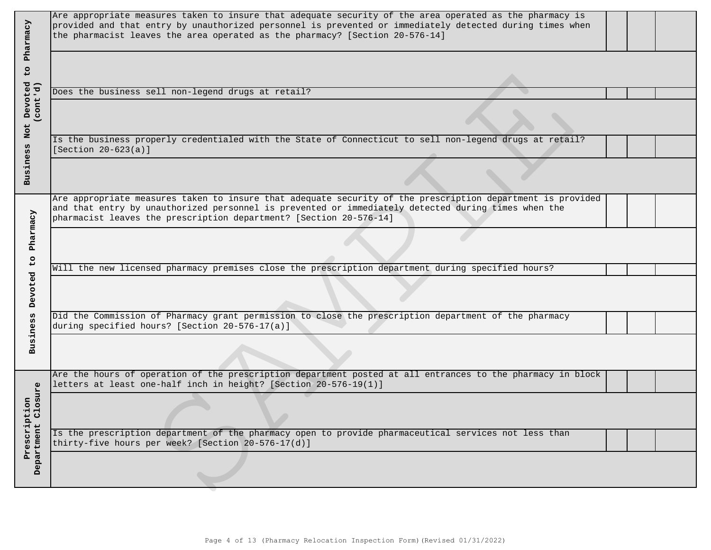| Pharmacy                     | Are appropriate measures taken to insure that adequate security of the area operated as the pharmacy is<br>provided and that entry by unauthorized personnel is prevented or immediately detected during times when<br>the pharmacist leaves the area operated as the pharmacy? [Section 20-576-14] |
|------------------------------|-----------------------------------------------------------------------------------------------------------------------------------------------------------------------------------------------------------------------------------------------------------------------------------------------------|
| 50                           |                                                                                                                                                                                                                                                                                                     |
|                              | Does the business sell non-legend drugs at retail?                                                                                                                                                                                                                                                  |
| Devoted<br>(cont'd)<br>Not   |                                                                                                                                                                                                                                                                                                     |
|                              | Is the business properly credentialed with the State of Connecticut to sell non-legend drugs at retail?<br>[Section $20-623(a)$ ]                                                                                                                                                                   |
| Business                     |                                                                                                                                                                                                                                                                                                     |
|                              | Are appropriate measures taken to insure that adequate security of the prescription department is provided<br>and that entry by unauthorized personnel is prevented or immediately detected during times when the<br>pharmacist leaves the prescription department? [Section 20-576-14]             |
| Pharmacy<br>$\frac{1}{2}$    |                                                                                                                                                                                                                                                                                                     |
|                              | Will the new licensed pharmacy premises close the prescription department during specified hours?                                                                                                                                                                                                   |
| Devoted                      |                                                                                                                                                                                                                                                                                                     |
| <b>Business</b>              | Did the Commission of Pharmacy grant permission to close the prescription department of the pharmacy<br>during specified hours? [Section 20-576-17(a)]                                                                                                                                              |
|                              |                                                                                                                                                                                                                                                                                                     |
|                              | Are the hours of operation of the prescription department posted at all entrances to the pharmacy in block<br>letters at least one-half inch in height? [Section 20-576-19(1)]                                                                                                                      |
| osure<br>£<br>$\overline{c}$ |                                                                                                                                                                                                                                                                                                     |
| Prescript                    | Is the prescription department of the pharmacy open to provide pharmaceutical services not less than<br>thirty-five hours per week? [Section 20-576-17(d)]                                                                                                                                          |
| Department                   |                                                                                                                                                                                                                                                                                                     |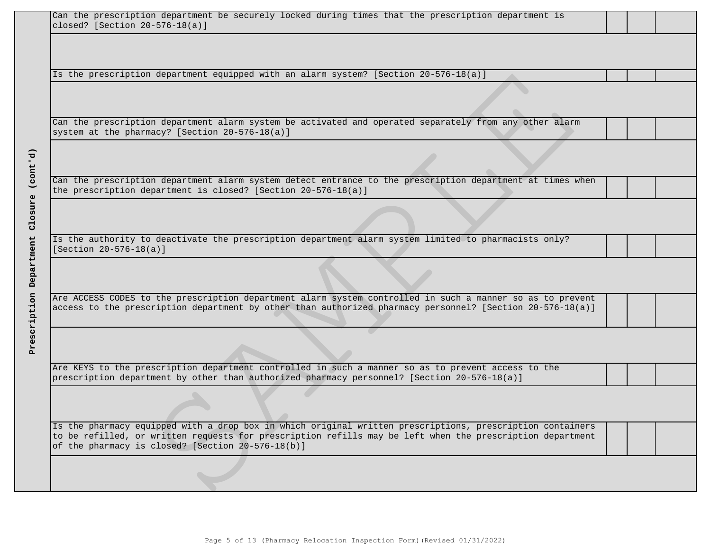|                         | Can the prescription department be securely locked during times that the prescription department is<br>closed? [Section $20-576-18(a)$ ]                                                                                                                                    |
|-------------------------|-----------------------------------------------------------------------------------------------------------------------------------------------------------------------------------------------------------------------------------------------------------------------------|
|                         |                                                                                                                                                                                                                                                                             |
|                         |                                                                                                                                                                                                                                                                             |
|                         | Is the prescription department equipped with an alarm system? [Section 20-576-18(a)]                                                                                                                                                                                        |
|                         |                                                                                                                                                                                                                                                                             |
|                         | Can the prescription department alarm system be activated and operated separately from any other alarm<br>system at the pharmacy? [Section 20-576-18(a)]                                                                                                                    |
| (const.d)               |                                                                                                                                                                                                                                                                             |
|                         | Can the prescription department alarm system detect entrance to the prescription department at times when<br>the prescription department is closed? [Section $20-576-18(a)$ ]                                                                                               |
| Closure                 |                                                                                                                                                                                                                                                                             |
|                         | Is the authority to deactivate the prescription department alarm system limited to pharmacists only?<br>[Section $20 - 576 - 18(a)$ ]                                                                                                                                       |
| Prescription Department |                                                                                                                                                                                                                                                                             |
|                         | Are ACCESS CODES to the prescription department alarm system controlled in such a manner so as to prevent<br>access to the prescription department by other than authorized pharmacy personnel? [Section 20-576-18(a)]                                                      |
|                         |                                                                                                                                                                                                                                                                             |
|                         | Are KEYS to the prescription department controlled in such a manner so as to prevent access to the<br>prescription department by other than authorized pharmacy personnel? [Section 20-576-18(a)]                                                                           |
|                         |                                                                                                                                                                                                                                                                             |
|                         | Is the pharmacy equipped with a drop box in which original written prescriptions, prescription containers<br>to be refilled, or written requests for prescription refills may be left when the prescription department<br>of the pharmacy is closed? [Section 20-576-18(b)] |
|                         |                                                                                                                                                                                                                                                                             |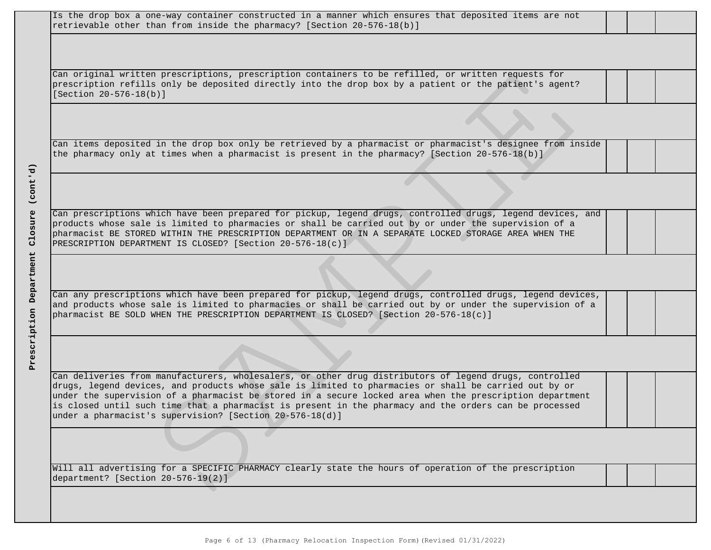| Is the drop box a one-way container constructed in a manner which ensures that deposited items are not                                                                                                          |
|-----------------------------------------------------------------------------------------------------------------------------------------------------------------------------------------------------------------|
| retrievable other than from inside the pharmacy? [Section 20-576-18(b)]                                                                                                                                         |
|                                                                                                                                                                                                                 |
|                                                                                                                                                                                                                 |
| Can original written prescriptions, prescription containers to be refilled, or written requests for                                                                                                             |
| prescription refills only be deposited directly into the drop box by a patient or the patient's agent?                                                                                                          |
| [Section 20-576-18(b)]                                                                                                                                                                                          |
|                                                                                                                                                                                                                 |
|                                                                                                                                                                                                                 |
|                                                                                                                                                                                                                 |
| Can items deposited in the drop box only be retrieved by a pharmacist or pharmacist's designee from inside<br>the pharmacy only at times when a pharmacist is present in the pharmacy? [Section 20-576-18(b)]   |
|                                                                                                                                                                                                                 |
|                                                                                                                                                                                                                 |
|                                                                                                                                                                                                                 |
|                                                                                                                                                                                                                 |
| Can prescriptions which have been prepared for pickup, legend drugs, controlled drugs, legend devices, and                                                                                                      |
| products whose sale is limited to pharmacies or shall be carried out by or under the supervision of a                                                                                                           |
| pharmacist BE STORED WITHIN THE PRESCRIPTION DEPARTMENT OR IN A SEPARATE LOCKED STORAGE AREA WHEN THE<br>PRESCRIPTION DEPARTMENT IS CLOSED? [Section 20-576-18(c)]                                              |
|                                                                                                                                                                                                                 |
|                                                                                                                                                                                                                 |
|                                                                                                                                                                                                                 |
| Can any prescriptions which have been prepared for pickup, legend drugs, controlled drugs, legend devices,                                                                                                      |
| and products whose sale is limited to pharmacies or shall be carried out by or under the supervision of a                                                                                                       |
| pharmacist BE SOLD WHEN THE PRESCRIPTION DEPARTMENT IS CLOSED? [Section 20-576-18(c)]                                                                                                                           |
|                                                                                                                                                                                                                 |
|                                                                                                                                                                                                                 |
|                                                                                                                                                                                                                 |
|                                                                                                                                                                                                                 |
| Can deliveries from manufacturers, wholesalers, or other drug distributors of legend drugs, controlled<br>drugs, legend devices, and products whose sale is limited to pharmacies or shall be carried out by or |
| under the supervision of a pharmacist be stored in a secure locked area when the prescription department                                                                                                        |
| is closed until such time that a pharmacist is present in the pharmacy and the orders can be processed                                                                                                          |
| under a pharmacist's supervision? [Section 20-576-18(d)]                                                                                                                                                        |
|                                                                                                                                                                                                                 |
|                                                                                                                                                                                                                 |
|                                                                                                                                                                                                                 |
| Will all advertising for a SPECIFIC PHARMACY clearly state the hours of operation of the prescription                                                                                                           |
| department? [Section 20-576-19(2)]                                                                                                                                                                              |
|                                                                                                                                                                                                                 |
|                                                                                                                                                                                                                 |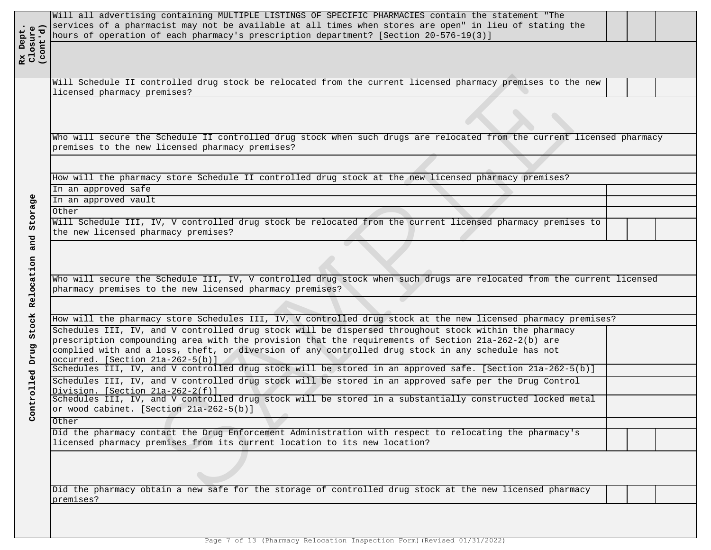| Rx Dept.<br>Closure<br>(cont'd) | Will all advertising containing MULTIPLE LISTINGS OF SPECIFIC PHARMACIES contain the statement "The<br>services of a pharmacist may not be available at all times when stores are open" in lieu of stating the<br>hours of operation of each pharmacy's prescription department? [Section 20-576-19(3)] |  |
|---------------------------------|---------------------------------------------------------------------------------------------------------------------------------------------------------------------------------------------------------------------------------------------------------------------------------------------------------|--|
|                                 | Will Schedule II controlled drug stock be relocated from the current licensed pharmacy premises to the new<br>licensed pharmacy premises?                                                                                                                                                               |  |
|                                 | Who will secure the Schedule II controlled drug stock when such drugs are relocated from the current licensed pharmacy<br>premises to the new licensed pharmacy premises?                                                                                                                               |  |
|                                 |                                                                                                                                                                                                                                                                                                         |  |
|                                 | How will the pharmacy store Schedule II controlled drug stock at the new licensed pharmacy premises?                                                                                                                                                                                                    |  |
|                                 | In an approved safe                                                                                                                                                                                                                                                                                     |  |
|                                 | In an approved vault                                                                                                                                                                                                                                                                                    |  |
|                                 | Other                                                                                                                                                                                                                                                                                                   |  |
|                                 | Will Schedule III, IV, V controlled drug stock be relocated from the current licensed pharmacy premises to<br>the new licensed pharmacy premises?                                                                                                                                                       |  |
|                                 |                                                                                                                                                                                                                                                                                                         |  |
|                                 | Who will secure the Schedule III, IV, V controlled drug stock when such drugs are relocated from the current licensed                                                                                                                                                                                   |  |
|                                 | pharmacy premises to the new licensed pharmacy premises?                                                                                                                                                                                                                                                |  |
|                                 |                                                                                                                                                                                                                                                                                                         |  |
|                                 | How will the pharmacy store Schedules III, IV, V controlled drug stock at the new licensed pharmacy premises?                                                                                                                                                                                           |  |
|                                 | Schedules III, IV, and V controlled drug stock will be dispersed throughout stock within the pharmacy<br>prescription compounding area with the provision that the requirements of Section 21a-262-2(b) are                                                                                             |  |
|                                 | complied with and a loss, theft, or diversion of any controlled drug stock in any schedule has not                                                                                                                                                                                                      |  |
|                                 | occurred. [Section 21a-262-5(b)]                                                                                                                                                                                                                                                                        |  |
|                                 | Schedules III, IV, and V controlled drug stock will be stored in an approved safe. [Section 21a-262-5(b)]                                                                                                                                                                                               |  |
|                                 | Schedules III, IV, and V controlled drug stock will be stored in an approved safe per the Drug Control<br>Division. [Section 21a-262-2(f)]                                                                                                                                                              |  |
|                                 | Schedules III, IV, and V controlled drug stock will be stored in a substantially constructed locked metal                                                                                                                                                                                               |  |
|                                 | or wood cabinet. [Section 21a-262-5(b)]                                                                                                                                                                                                                                                                 |  |
|                                 | Other                                                                                                                                                                                                                                                                                                   |  |
|                                 | Did the pharmacy contact the Drug Enforcement Administration with respect to relocating the pharmacy's<br>licensed pharmacy premises from its current location to its new location?                                                                                                                     |  |
|                                 |                                                                                                                                                                                                                                                                                                         |  |
|                                 | Did the pharmacy obtain a new safe for the storage of controlled drug stock at the new licensed pharmacy<br>premises?                                                                                                                                                                                   |  |

Page 7 of 13 (Pharmacy Relocation Inspection Form)(Revised 01/31/2022)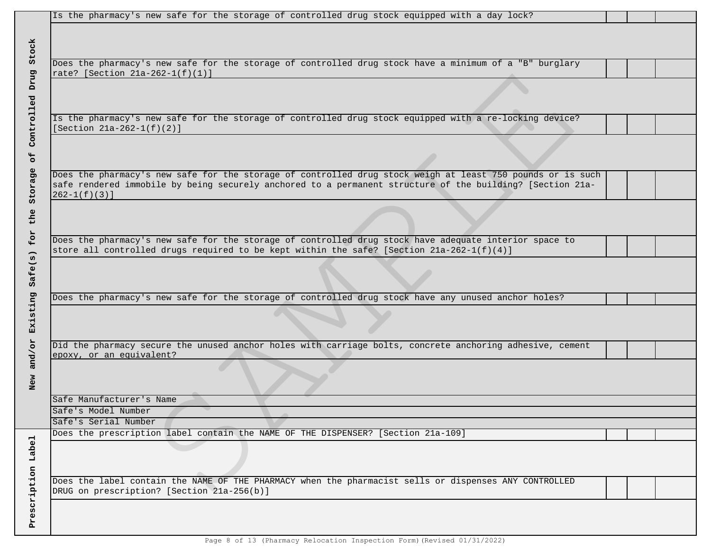| Is the pharmacy's new safe for the storage of controlled drug stock equipped with a day lock?              |  |
|------------------------------------------------------------------------------------------------------------|--|
|                                                                                                            |  |
|                                                                                                            |  |
|                                                                                                            |  |
| Does the pharmacy's new safe for the storage of controlled drug stock have a minimum of a "B" burglary     |  |
| rate? [Section 21a-262-1(f)(1)]                                                                            |  |
|                                                                                                            |  |
|                                                                                                            |  |
|                                                                                                            |  |
| Is the pharmacy's new safe for the storage of controlled drug stock equipped with a re-locking device?     |  |
| [Section $21a-262-1(f)(2)$ ]                                                                               |  |
|                                                                                                            |  |
|                                                                                                            |  |
|                                                                                                            |  |
| Does the pharmacy's new safe for the storage of controlled drug stock weigh at least 750 pounds or is such |  |
| safe rendered immobile by being securely anchored to a permanent structure of the building? [Section 21a-  |  |
| $262 - 1(f)(3)$ ]                                                                                          |  |
|                                                                                                            |  |
|                                                                                                            |  |
|                                                                                                            |  |
| Does the pharmacy's new safe for the storage of controlled drug stock have adequate interior space to      |  |
| store all controlled drugs required to be kept within the safe? [Section 21a-262-1(f)(4)]                  |  |
|                                                                                                            |  |
|                                                                                                            |  |
|                                                                                                            |  |
| Does the pharmacy's new safe for the storage of controlled drug stock have any unused anchor holes?        |  |
|                                                                                                            |  |
|                                                                                                            |  |
|                                                                                                            |  |
|                                                                                                            |  |
| Did the pharmacy secure the unused anchor holes with carriage bolts, concrete anchoring adhesive, cement   |  |
| epoxy, or an equivalent?                                                                                   |  |
|                                                                                                            |  |
|                                                                                                            |  |
|                                                                                                            |  |
| Safe Manufacturer's Name                                                                                   |  |
| Safe's Model Number                                                                                        |  |
| Safe's Serial Number                                                                                       |  |
| Does the prescription label contain the NAME OF THE DISPENSER? [Section 21a-109]                           |  |
|                                                                                                            |  |
|                                                                                                            |  |
|                                                                                                            |  |
| Does the label contain the NAME OF THE PHARMACY when the pharmacist sells or dispenses ANY CONTROLLED      |  |
| DRUG on prescription? [Section 21a-256(b)]                                                                 |  |
|                                                                                                            |  |
|                                                                                                            |  |
|                                                                                                            |  |
|                                                                                                            |  |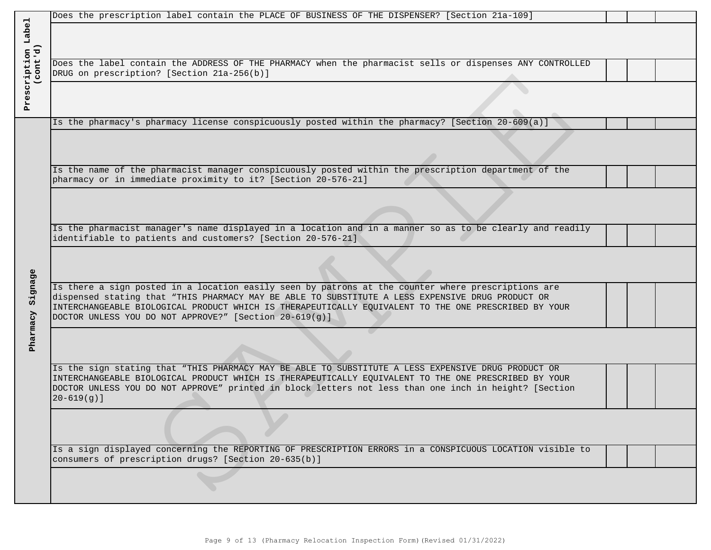|                                | Does the prescription label contain the PLACE OF BUSINESS OF THE DISPENSER? [Section 21a-109]                                                                                                                 |
|--------------------------------|---------------------------------------------------------------------------------------------------------------------------------------------------------------------------------------------------------------|
|                                |                                                                                                                                                                                                               |
| Prescription Label<br>(cont'd) |                                                                                                                                                                                                               |
|                                | Does the label contain the ADDRESS OF THE PHARMACY when the pharmacist sells or dispenses ANY CONTROLLED                                                                                                      |
|                                | DRUG on prescription? [Section 21a-256(b)]                                                                                                                                                                    |
|                                |                                                                                                                                                                                                               |
|                                |                                                                                                                                                                                                               |
|                                | Is the pharmacy's pharmacy license conspicuously posted within the pharmacy? [Section 20-609(a)]                                                                                                              |
|                                |                                                                                                                                                                                                               |
|                                |                                                                                                                                                                                                               |
|                                |                                                                                                                                                                                                               |
|                                | Is the name of the pharmacist manager conspicuously posted within the prescription department of the<br>pharmacy or in immediate proximity to it? [Section 20-576-21]                                         |
|                                |                                                                                                                                                                                                               |
|                                |                                                                                                                                                                                                               |
|                                |                                                                                                                                                                                                               |
|                                | Is the pharmacist manager's name displayed in a location and in a manner so as to be clearly and readily<br>identifiable to patients and customers? [Section 20-576-21]                                       |
|                                |                                                                                                                                                                                                               |
|                                |                                                                                                                                                                                                               |
|                                | Is there a sign posted in a location easily seen by patrons at the counter where prescriptions are                                                                                                            |
| Signage                        | dispensed stating that "THIS PHARMACY MAY BE ABLE TO SUBSTITUTE A LESS EXPENSIVE DRUG PRODUCT OR                                                                                                              |
|                                | INTERCHANGEABLE BIOLOGICAL PRODUCT WHICH IS THERAPEUTICALLY EQUIVALENT TO THE ONE PRESCRIBED BY YOUR                                                                                                          |
|                                | DOCTOR UNLESS YOU DO NOT APPROVE?" [Section 20-619(g)]                                                                                                                                                        |
| Pharmacy                       |                                                                                                                                                                                                               |
|                                |                                                                                                                                                                                                               |
|                                | Is the sign stating that "THIS PHARMACY MAY BE ABLE TO SUBSTITUTE A LESS EXPENSIVE DRUG PRODUCT OR                                                                                                            |
|                                | INTERCHANGEABLE BIOLOGICAL PRODUCT WHICH IS THERAPEUTICALLY EQUIVALENT TO THE ONE PRESCRIBED BY YOUR<br>DOCTOR UNLESS YOU DO NOT APPROVE" printed in block letters not less than one inch in height? [Section |
|                                | $20 - 619(g)$ ]                                                                                                                                                                                               |
|                                |                                                                                                                                                                                                               |
|                                |                                                                                                                                                                                                               |
|                                | Is a sign displayed concerning the REPORTING OF PRESCRIPTION ERRORS in a CONSPICUOUS LOCATION visible to                                                                                                      |
|                                | consumers of prescription drugs? [Section 20-635(b)]                                                                                                                                                          |
|                                |                                                                                                                                                                                                               |
|                                |                                                                                                                                                                                                               |
|                                |                                                                                                                                                                                                               |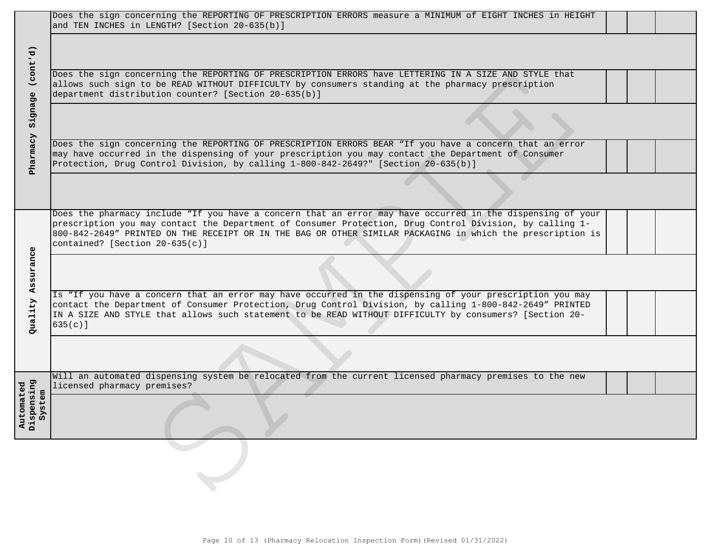|                                                  | Does the sign concerning the REPORTING OF PRESCRIPTION ERRORS measure a MINIMUM of EIGHT INCHES in HEIGHT<br>and TEN INCHES in LENGTH? [Section 20-635(b)]                                                                                                                                                                                                                |  |
|--------------------------------------------------|---------------------------------------------------------------------------------------------------------------------------------------------------------------------------------------------------------------------------------------------------------------------------------------------------------------------------------------------------------------------------|--|
| (cont'd)                                         |                                                                                                                                                                                                                                                                                                                                                                           |  |
|                                                  | Does the sign concerning the REPORTING OF PRESCRIPTION ERRORS have LETTERING IN A SIZE AND STYLE that<br>allows such sign to be READ WITHOUT DIFFICULTY by consumers standing at the pharmacy prescription<br>department distribution counter? [Section 20-635(b)]                                                                                                        |  |
| Signage                                          |                                                                                                                                                                                                                                                                                                                                                                           |  |
| Pharmacy                                         | Does the sign concerning the REPORTING OF PRESCRIPTION ERRORS BEAR "If you have a concern that an error<br>may have occurred in the dispensing of your prescription you may contact the Department of Consumer<br>Protection, Drug Control Division, by calling 1-800-842-2649?" [Section 20-635(b)]                                                                      |  |
|                                                  |                                                                                                                                                                                                                                                                                                                                                                           |  |
|                                                  | Does the pharmacy include "If you have a concern that an error may have occurred in the dispensing of your<br>prescription you may contact the Department of Consumer Protection, Drug Control Division, by calling 1-<br>800-842-2649" PRINTED ON THE RECEIPT OR IN THE BAG OR OTHER SIMILAR PACKAGING in which the prescription is<br>contained? [Section $20-635(c)$ ] |  |
| Assurance                                        |                                                                                                                                                                                                                                                                                                                                                                           |  |
| Quality                                          | Is "If you have a concern that an error may have occurred in the dispensing of your prescription you may<br>contact the Department of Consumer Protection, Drug Control Division, by calling 1-800-842-2649" PRINTED<br>IN A SIZE AND STYLE that allows such statement to be READ WITHOUT DIFFICULTY by consumers? [Section 20-<br>$635(c)$ ]                             |  |
|                                                  |                                                                                                                                                                                                                                                                                                                                                                           |  |
|                                                  | Will an automated dispensing system be relocated from the current licensed pharmacy premises to the new<br>licensed pharmacy premises?                                                                                                                                                                                                                                    |  |
| <b>Dispensing</b><br>Automated<br>ã<br>نِ<br>Sys |                                                                                                                                                                                                                                                                                                                                                                           |  |
|                                                  |                                                                                                                                                                                                                                                                                                                                                                           |  |
|                                                  |                                                                                                                                                                                                                                                                                                                                                                           |  |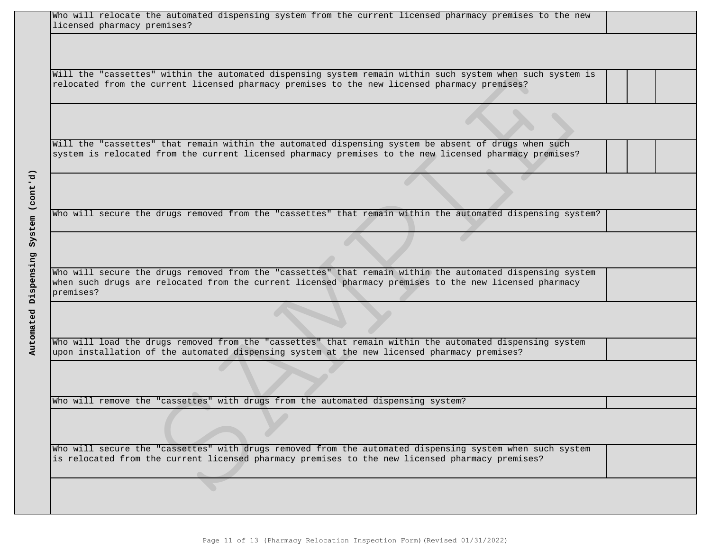| Who will relocate the automated dispensing system from the current licensed pharmacy premises to the new<br>licensed pharmacy premises? |
|-----------------------------------------------------------------------------------------------------------------------------------------|
|                                                                                                                                         |
|                                                                                                                                         |
|                                                                                                                                         |
| Will the "cassettes" within the automated dispensing system remain within such system when such system is                               |
| relocated from the current licensed pharmacy premises to the new licensed pharmacy premises?                                            |
|                                                                                                                                         |
|                                                                                                                                         |
|                                                                                                                                         |
|                                                                                                                                         |
| Will the "cassettes" that remain within the automated dispensing system be absent of drugs when such                                    |
| system is relocated from the current licensed pharmacy premises to the new licensed pharmacy premises?                                  |
|                                                                                                                                         |
|                                                                                                                                         |
|                                                                                                                                         |
|                                                                                                                                         |
| Who will secure the drugs removed from the "cassettes" that remain within the automated dispensing system?                              |
|                                                                                                                                         |
|                                                                                                                                         |
|                                                                                                                                         |
|                                                                                                                                         |
| Who will secure the drugs removed from the "cassettes" that remain within the automated dispensing system                               |
| when such drugs are relocated from the current licensed pharmacy premises to the new licensed pharmacy                                  |
| premises?                                                                                                                               |
|                                                                                                                                         |
|                                                                                                                                         |
|                                                                                                                                         |
| Who will load the drugs removed from the "cassettes" that remain within the automated dispensing system                                 |
| upon installation of the automated dispensing system at the new licensed pharmacy premises?                                             |
|                                                                                                                                         |
|                                                                                                                                         |
|                                                                                                                                         |
|                                                                                                                                         |
| Who will remove the "cassettes" with drugs from the automated dispensing system?                                                        |
|                                                                                                                                         |
|                                                                                                                                         |
|                                                                                                                                         |
| Who will secure the "cassettes" with drugs removed from the automated dispensing system when such system                                |
| is relocated from the current licensed pharmacy premises to the new licensed pharmacy premises?                                         |
|                                                                                                                                         |
|                                                                                                                                         |
|                                                                                                                                         |
|                                                                                                                                         |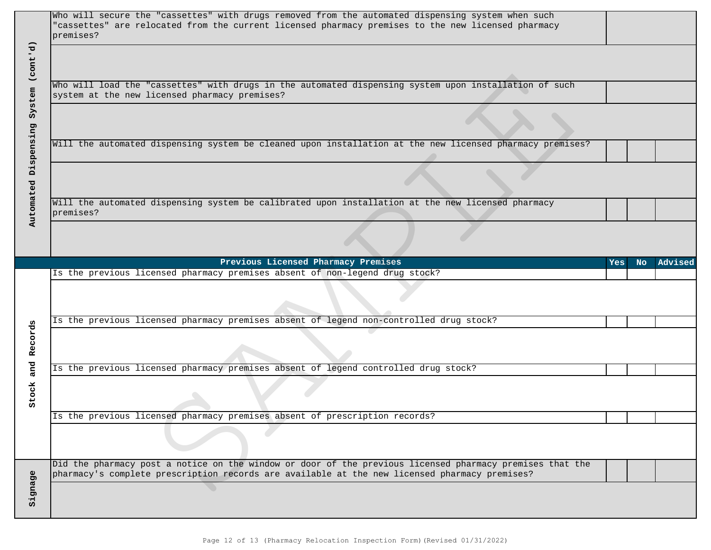| Who will secure the "cassettes" with drugs removed from the automated dispensing system when such<br>"cassettes" are relocated from the current licensed pharmacy premises to the new licensed pharmacy<br>premises? |            |     |         |
|----------------------------------------------------------------------------------------------------------------------------------------------------------------------------------------------------------------------|------------|-----|---------|
| Who will load the "cassettes" with drugs in the automated dispensing system upon installation of such<br>system at the new licensed pharmacy premises?                                                               |            |     |         |
|                                                                                                                                                                                                                      |            |     |         |
| Will the automated dispensing system be cleaned upon installation at the new licensed pharmacy premises?                                                                                                             |            |     |         |
|                                                                                                                                                                                                                      |            |     |         |
| Will the automated dispensing system be calibrated upon installation at the new licensed pharmacy<br>premises?                                                                                                       |            |     |         |
|                                                                                                                                                                                                                      |            |     |         |
| Previous Licensed Pharmacy Premises                                                                                                                                                                                  | <b>Yes</b> | No. | Advised |
| Is the previous licensed pharmacy premises absent of non-legend drug stock?                                                                                                                                          |            |     |         |
|                                                                                                                                                                                                                      |            |     |         |
| Is the previous licensed pharmacy premises absent of legend non-controlled drug stock?                                                                                                                               |            |     |         |
|                                                                                                                                                                                                                      |            |     |         |
|                                                                                                                                                                                                                      |            |     |         |
| Is the previous licensed pharmacy premises absent of legend controlled drug stock?                                                                                                                                   |            |     |         |
|                                                                                                                                                                                                                      |            |     |         |
| Is the previous licensed pharmacy premises absent of prescription records?                                                                                                                                           |            |     |         |
|                                                                                                                                                                                                                      |            |     |         |
| Did the pharmacy post a notice on the window or door of the previous licensed pharmacy premises that the<br>pharmacy's complete prescription records are available at the new licensed pharmacy premises?            |            |     |         |